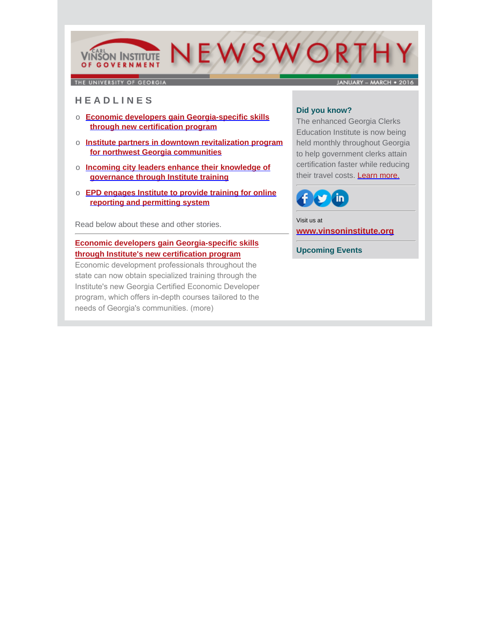# NEWSWORTH **VINSON INSTITUTE** OF GOVERNMENT

THE UNIVERSITY OF GEORGIA

**JANUARY - MARCH . 2016** 

# **H E A D L I N E S**

- o **Economic developers gain Georgia-specific skills through new certification program**
- o **Institute partners in downtown revitalization program for northwest Georgia communities**
- o **Incoming city leaders enhance their knowledge of governance through Institute training**
- o **EPD engages Institute to provide training for online reporting and permitting system**

Read below about these and other stories.

## **[Economic developers gain Georgia-specific skills](http://www.cviog.uga.edu/news/spotlights/032116-gced.html) through Institute's new certification program**

Economic development professionals throughout the state can now obtain specialized training through the Institute's new Georgia Certified Economic Developer program, which offers in-depth courses tailored to the needs of Georgia's communities. [\(more\)](http://www.cviog.uga.edu/news/spotlights/032116-gced.html)

## **Did you know?**

The enhanced Georgia Clerks Education Institute is now being held monthly throughout Georgia to help government clerks attain certification faster while reducing their travel costs. [Learn more.](http://www.cviog.uga.edu/training-and-education/government-professionals-certificate-programs/clerks.html)



Visit us at **[www.vinsoninstitute.org](http://www.cviog.uga.edu)**

**Upcoming Events**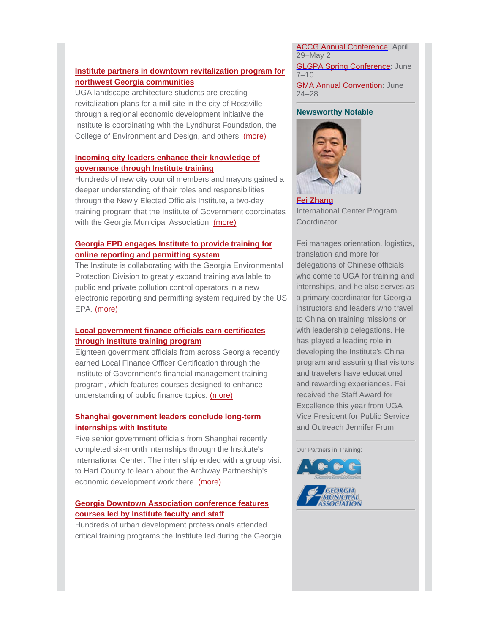## **[Institute partners in downtown revitalization program for](http://www.cviog.uga.edu/news/spotlights/031116-rossville.html) northwest Georgia communities**

UGA landscape architecture students are creating revitalization plans for a mill site in the city of Rossville through a regional economic development initiative the Institute is coordinating with the Lyndhurst Foundation, the College of Environment and Design, and others. [\(more\)](http://www.cviog.uga.edu/news/spotlights/031116-rossville.html)

#### **Incoming city leaders enhance their knowledge of governance through Institute training**

[Hundreds of new city council members and mayors gaine](http://www.cviog.uga.edu/news/spotlights/030316-newly-elected.html)d a deeper understanding of their roles and responsibilities through the Newly Elected Officials Institute, a two-day training program that the Institute of Government coordinates with the Georgia Municipal Association. [\(more\)](http://www.cviog.uga.edu/news/spotlights/030316-newly-elected.html)

#### **Georgia EPD engages Institute to provide training for online reporting and permitting system**

[The Institute is collaborating with the Georgia Environment](http://epd.georgia.gov/netdmr/)al Protection Division to greatly expand training available to public and private pollution control operators in a new electronic reporting and permitting system required by the US EPA. [\(more\)](http://epd.georgia.gov/netdmr/)

## **Local government finance officials earn certificates through Institute training program**

[Eighteen government officials from across Georgia recen](http://oudev.cviog.uga.edu/news/spotlights/021516-fmp.html)tly earned Local Finance Officer Certification through the Institute of Government's financial management training program, which features courses designed to enhance understanding of public finance topics. [\(more\)](http://oudev.cviog.uga.edu/news/spotlights/021516-fmp.html)

#### **Shanghai government leaders conclude long-term internships with Institute**

[Five senior government officials from Shanghai recently](http://www.archwaypartnership.uga.edu/reports/hart-reports/monthly-key-accomplishments-march-2016-6/) completed six-month internships through the Institute's International Center. The internship ended with a group visit to Hart County to learn about the Archway Partnership's economic development work there. [\(more\)](http://www.archwaypartnership.uga.edu/reports/hart-reports/monthly-key-accomplishments-march-2016-6/)

## **[Georgia Downtown Association conference features](http://www.cviog.uga.edu/news/spotlights/032916-gda.html) courses led by Institute faculty and staff**

Hundreds of urban development professionals attended critical training programs the Institute led during the Georgia **ACCG Annual Conference: April** 29–May 2 **GLGPA Spring Conference: June** 7–10 **GMA Annual Convention: June** 24–28

#### **Newsworthy Notable**



**[Fei Zhang](http://www.cviog.uga.edu/about-us/faculty-staff/fei-zhang.html)** International Center Program **Coordinator** 

Fei manages orientation, logistics, translation and more for delegations of Chinese officials who come to UGA for training and internships, and he also serves as a primary coordinator for Georgia instructors and leaders who travel to China on training missions or with leadership delegations. He has played a leading role in developing the Institute's China program and assuring that visitors and travelers have educational and rewarding experiences. Fei received the Staff Award for Excellence this year from UGA Vice President for Public Service and Outreach Jennifer Frum.

Our Partners in Training: